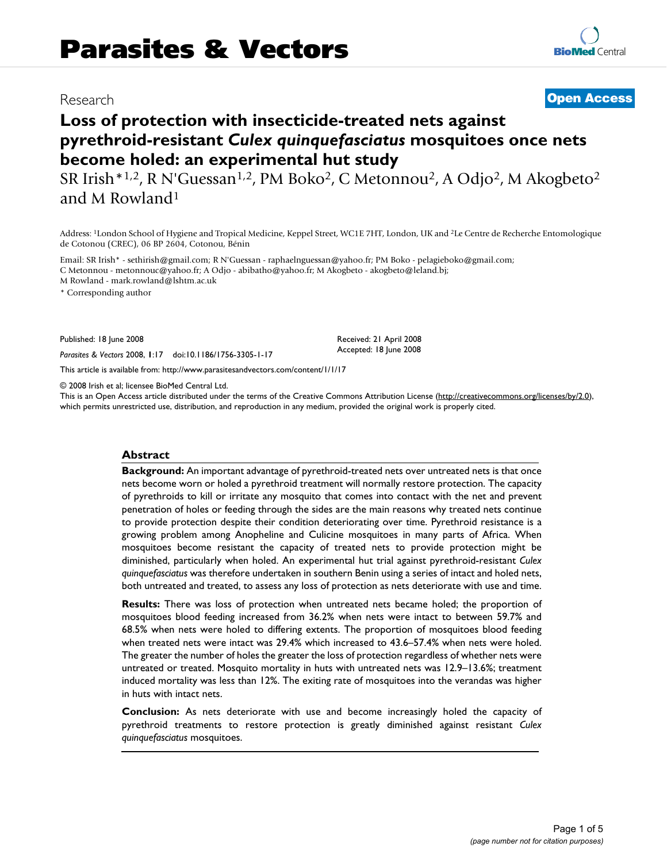# Research **[Open Access](http://www.biomedcentral.com/info/about/charter/)**

# **Loss of protection with insecticide-treated nets against pyrethroid-resistant** *Culex quinquefasciatus* **mosquitoes once nets become holed: an experimental hut study**

SR Irish\*<sup>1,2</sup>, R N'Guessan<sup>1,2</sup>, PM Boko<sup>2</sup>, C Metonnou<sup>2</sup>, A Odjo<sup>2</sup>, M Akogbeto<sup>2</sup> and M Rowland1

Address: 1London School of Hygiene and Tropical Medicine, Keppel Street, WC1E 7HT, London, UK and 2Le Centre de Recherche Entomologique de Cotonou (CREC), 06 BP 2604, Cotonou, Bénin

Email: SR Irish\* - sethirish@gmail.com; R N'Guessan - raphaelnguessan@yahoo.fr; PM Boko - pelagieboko@gmail.com; C Metonnou - metonnouc@yahoo.fr; A Odjo - abibatho@yahoo.fr; M Akogbeto - akogbeto@leland.bj; M Rowland - mark.rowland@lshtm.ac.uk

\* Corresponding author

Published: 18 June 2008

*Parasites & Vectors* 2008, **1**:17 doi:10.1186/1756-3305-1-17

[This article is available from: http://www.parasitesandvectors.com/content/1/1/17](http://www.parasitesandvectors.com/content/1/1/17)

© 2008 Irish et al; licensee BioMed Central Ltd.

This is an Open Access article distributed under the terms of the Creative Commons Attribution License [\(http://creativecommons.org/licenses/by/2.0\)](http://creativecommons.org/licenses/by/2.0), which permits unrestricted use, distribution, and reproduction in any medium, provided the original work is properly cited.

Received: 21 April 2008 Accepted: 18 June 2008

#### **Abstract**

**Background:** An important advantage of pyrethroid-treated nets over untreated nets is that once nets become worn or holed a pyrethroid treatment will normally restore protection. The capacity of pyrethroids to kill or irritate any mosquito that comes into contact with the net and prevent penetration of holes or feeding through the sides are the main reasons why treated nets continue to provide protection despite their condition deteriorating over time. Pyrethroid resistance is a growing problem among Anopheline and Culicine mosquitoes in many parts of Africa. When mosquitoes become resistant the capacity of treated nets to provide protection might be diminished, particularly when holed. An experimental hut trial against pyrethroid-resistant *Culex quinquefasciatus* was therefore undertaken in southern Benin using a series of intact and holed nets, both untreated and treated, to assess any loss of protection as nets deteriorate with use and time.

**Results:** There was loss of protection when untreated nets became holed; the proportion of mosquitoes blood feeding increased from 36.2% when nets were intact to between 59.7% and 68.5% when nets were holed to differing extents. The proportion of mosquitoes blood feeding when treated nets were intact was 29.4% which increased to 43.6–57.4% when nets were holed. The greater the number of holes the greater the loss of protection regardless of whether nets were untreated or treated. Mosquito mortality in huts with untreated nets was 12.9–13.6%; treatment induced mortality was less than 12%. The exiting rate of mosquitoes into the verandas was higher in huts with intact nets.

**Conclusion:** As nets deteriorate with use and become increasingly holed the capacity of pyrethroid treatments to restore protection is greatly diminished against resistant *Culex quinquefasciatus* mosquitoes.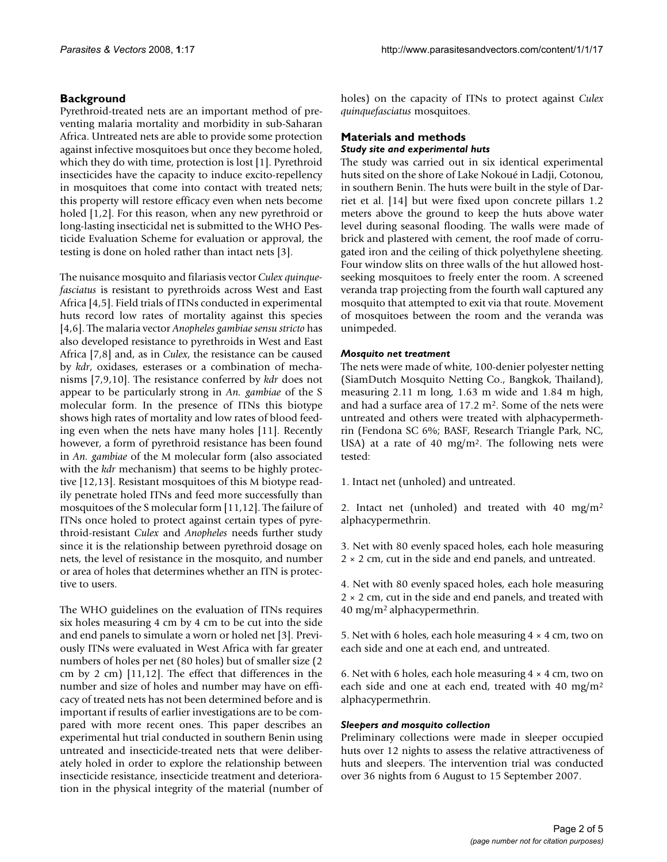### **Background**

Pyrethroid-treated nets are an important method of preventing malaria mortality and morbidity in sub-Saharan Africa. Untreated nets are able to provide some protection against infective mosquitoes but once they become holed, which they do with time, protection is lost [1]. Pyrethroid insecticides have the capacity to induce excito-repellency in mosquitoes that come into contact with treated nets; this property will restore efficacy even when nets become holed [1,2]. For this reason, when any new pyrethroid or long-lasting insecticidal net is submitted to the WHO Pesticide Evaluation Scheme for evaluation or approval, the testing is done on holed rather than intact nets [3].

The nuisance mosquito and filariasis vector *Culex quinquefasciatus* is resistant to pyrethroids across West and East Africa [4,5]. Field trials of ITNs conducted in experimental huts record low rates of mortality against this species [4,6]. The malaria vector *Anopheles gambiae sensu stricto* has also developed resistance to pyrethroids in West and East Africa [7,8] and, as in *Culex*, the resistance can be caused by *kdr*, oxidases, esterases or a combination of mechanisms [7,9,10]. The resistance conferred by *kdr* does not appear to be particularly strong in *An. gambiae* of the S molecular form. In the presence of ITNs this biotype shows high rates of mortality and low rates of blood feeding even when the nets have many holes [11]. Recently however, a form of pyrethroid resistance has been found in *An. gambiae* of the M molecular form (also associated with the *kdr* mechanism) that seems to be highly protective [12,13]. Resistant mosquitoes of this M biotype readily penetrate holed ITNs and feed more successfully than mosquitoes of the S molecular form [11,12]. The failure of ITNs once holed to protect against certain types of pyrethroid-resistant *Culex* and *Anopheles* needs further study since it is the relationship between pyrethroid dosage on nets, the level of resistance in the mosquito, and number or area of holes that determines whether an ITN is protective to users.

The WHO guidelines on the evaluation of ITNs requires six holes measuring 4 cm by 4 cm to be cut into the side and end panels to simulate a worn or holed net [3]. Previously ITNs were evaluated in West Africa with far greater numbers of holes per net (80 holes) but of smaller size (2 cm by 2 cm) [11,12]. The effect that differences in the number and size of holes and number may have on efficacy of treated nets has not been determined before and is important if results of earlier investigations are to be compared with more recent ones. This paper describes an experimental hut trial conducted in southern Benin using untreated and insecticide-treated nets that were deliberately holed in order to explore the relationship between insecticide resistance, insecticide treatment and deterioration in the physical integrity of the material (number of holes) on the capacity of ITNs to protect against *Culex quinquefasciatus* mosquitoes.

## **Materials and methods**

#### *Study site and experimental huts*

The study was carried out in six identical experimental huts sited on the shore of Lake Nokoué in Ladji, Cotonou, in southern Benin. The huts were built in the style of Darriet et al. [14] but were fixed upon concrete pillars 1.2 meters above the ground to keep the huts above water level during seasonal flooding. The walls were made of brick and plastered with cement, the roof made of corrugated iron and the ceiling of thick polyethylene sheeting. Four window slits on three walls of the hut allowed hostseeking mosquitoes to freely enter the room. A screened veranda trap projecting from the fourth wall captured any mosquito that attempted to exit via that route. Movement of mosquitoes between the room and the veranda was unimpeded.

#### *Mosquito net treatment*

The nets were made of white, 100-denier polyester netting (SiamDutch Mosquito Netting Co., Bangkok, Thailand), measuring 2.11 m long, 1.63 m wide and 1.84 m high, and had a surface area of 17.2 m<sup>2</sup>. Some of the nets were untreated and others were treated with alphacypermethrin (Fendona SC 6%; BASF, Research Triangle Park, NC, USA) at a rate of 40 mg/m<sup>2</sup>. The following nets were tested:

1. Intact net (unholed) and untreated.

2. Intact net (unholed) and treated with 40 mg/m<sup>2</sup> alphacypermethrin.

3. Net with 80 evenly spaced holes, each hole measuring  $2 \times 2$  cm, cut in the side and end panels, and untreated.

4. Net with 80 evenly spaced holes, each hole measuring  $2 \times 2$  cm, cut in the side and end panels, and treated with 40 mg/m2 alphacypermethrin.

5. Net with 6 holes, each hole measuring  $4 \times 4$  cm, two on each side and one at each end, and untreated.

6. Net with 6 holes, each hole measuring  $4 \times 4$  cm, two on each side and one at each end, treated with 40 mg/m<sup>2</sup> alphacypermethrin.

#### *Sleepers and mosquito collection*

Preliminary collections were made in sleeper occupied huts over 12 nights to assess the relative attractiveness of huts and sleepers. The intervention trial was conducted over 36 nights from 6 August to 15 September 2007.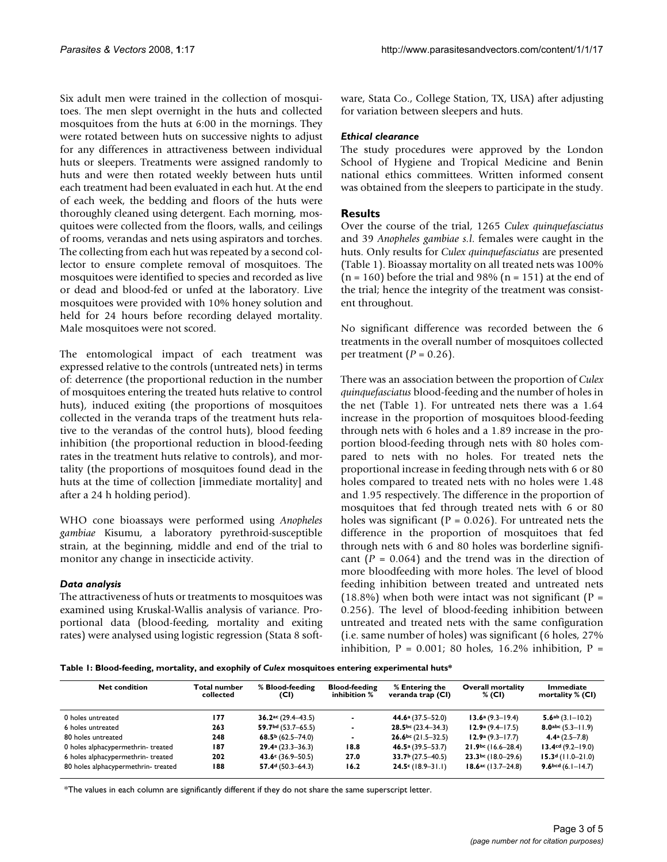Six adult men were trained in the collection of mosquitoes. The men slept overnight in the huts and collected mosquitoes from the huts at 6:00 in the mornings. They were rotated between huts on successive nights to adjust for any differences in attractiveness between individual huts or sleepers. Treatments were assigned randomly to huts and were then rotated weekly between huts until each treatment had been evaluated in each hut. At the end of each week, the bedding and floors of the huts were thoroughly cleaned using detergent. Each morning, mosquitoes were collected from the floors, walls, and ceilings of rooms, verandas and nets using aspirators and torches. The collecting from each hut was repeated by a second collector to ensure complete removal of mosquitoes. The mosquitoes were identified to species and recorded as live or dead and blood-fed or unfed at the laboratory. Live mosquitoes were provided with 10% honey solution and held for 24 hours before recording delayed mortality. Male mosquitoes were not scored.

The entomological impact of each treatment was expressed relative to the controls (untreated nets) in terms of: deterrence (the proportional reduction in the number of mosquitoes entering the treated huts relative to control huts), induced exiting (the proportions of mosquitoes collected in the veranda traps of the treatment huts relative to the verandas of the control huts), blood feeding inhibition (the proportional reduction in blood-feeding rates in the treatment huts relative to controls), and mortality (the proportions of mosquitoes found dead in the huts at the time of collection [immediate mortality] and after a 24 h holding period).

WHO cone bioassays were performed using *Anopheles gambiae* Kisumu, a laboratory pyrethroid-susceptible strain, at the beginning, middle and end of the trial to monitor any change in insecticide activity.

#### *Data analysis*

The attractiveness of huts or treatments to mosquitoes was examined using Kruskal-Wallis analysis of variance. Proportional data (blood-feeding, mortality and exiting rates) were analysed using logistic regression (Stata 8 software, Stata Co., College Station, TX, USA) after adjusting for variation between sleepers and huts.

#### *Ethical clearance*

The study procedures were approved by the London School of Hygiene and Tropical Medicine and Benin national ethics committees. Written informed consent was obtained from the sleepers to participate in the study.

#### **Results**

Over the course of the trial, 1265 *Culex quinquefasciatus* and 39 *Anopheles gambiae s.l*. females were caught in the huts. Only results for *Culex quinquefasciatus* are presented (Table 1). Bioassay mortality on all treated nets was 100%  $(n = 160)$  before the trial and 98%  $(n = 151)$  at the end of the trial; hence the integrity of the treatment was consistent throughout.

No significant difference was recorded between the 6 treatments in the overall number of mosquitoes collected per treatment (*P* = 0.26).

There was an association between the proportion of *Culex quinquefasciatus* blood-feeding and the number of holes in the net (Table 1). For untreated nets there was a 1.64 increase in the proportion of mosquitoes blood-feeding through nets with 6 holes and a 1.89 increase in the proportion blood-feeding through nets with 80 holes compared to nets with no holes. For treated nets the proportional increase in feeding through nets with 6 or 80 holes compared to treated nets with no holes were 1.48 and 1.95 respectively. The difference in the proportion of mosquitoes that fed through treated nets with 6 or 80 holes was significant ( $P = 0.026$ ). For untreated nets the difference in the proportion of mosquitoes that fed through nets with 6 and 80 holes was borderline significant  $(P = 0.064)$  and the trend was in the direction of more bloodfeeding with more holes. The level of blood feeding inhibition between treated and untreated nets  $(18.8\%)$  when both were intact was not significant (P = 0.256). The level of blood-feeding inhibition between untreated and treated nets with the same configuration (i.e. same number of holes) was significant (6 holes, 27% inhibition,  $P = 0.001$ ; 80 holes, 16.2% inhibition,  $P =$ 

**Table 1: Blood-feeding, mortality, and exophily of** *Culex* **mosquitoes entering experimental huts\***

| <b>Net condition</b>               | Total number<br>collected | % Blood-feeding<br>(CI)          | <b>Blood-feeding</b><br>inhibition % | % Entering the<br>veranda trap (CI) | <b>Overall mortality</b><br>$%$ (CI) | <b>Immediate</b><br>mortality % (CI) |
|------------------------------------|---------------------------|----------------------------------|--------------------------------------|-------------------------------------|--------------------------------------|--------------------------------------|
| 0 holes untreated                  | 177                       | $36.2$ <sup>ac</sup> (29.4–43.5) |                                      | $44.6^{\mathrm{a}}(37.5-52.0)$      | $13.6^a (9.3 - 19.4)$                | $5.6^{ab}$ (3.1–10.2)                |
| 6 holes untreated                  | 263                       | 59.7 <sup>bd</sup> (53.7–65.5)   | ٠                                    | $28.5^{bc} (23.4 - 34.3)$           | $12.9^a(9.4-17.5)$                   | 8.0 <sup>abc</sup> (5.3–11.9)        |
| 80 holes untreated                 | 248                       | $68.5b (62.5 - 74.0)$            |                                      | $26.6^{bc}$ (21.5-32.5)             | $12.9^a(9.3 - 17.7)$                 | $4.4^a(2.5 - 7.8)$                   |
| 0 holes alphacypermethrin-treated  | 187                       | $29.4^a(23.3-36.3)$              | 18.8                                 | $46.5^a$ (39.5–53.7)                | $21.9bc$ (16.6–28.4)                 | 13.4 <sup>cd</sup> (9.2–19.0)        |
| 6 holes alphacypermethrin-treated  | 202                       | 43.6 $\epsilon$ (36.9–50.5)      | 27.0                                 | $33.7b$ (27.5-40.5)                 | $23.3^{bc}$ (18.0-29.6)              | $15.3d$ (11.0-21.0)                  |
| 80 holes alphacypermethrin-treated | 188                       | $57.4d$ (50.3-64.3)              | 16.2                                 | $24.5^{\circ}$ (18.9-31.1)          | $18.6^{\text{ac}}(13.7-24.8)$        | 9.6 <sup>bcd</sup> (6.1–14.7)        |

\*The values in each column are significantly different if they do not share the same superscript letter.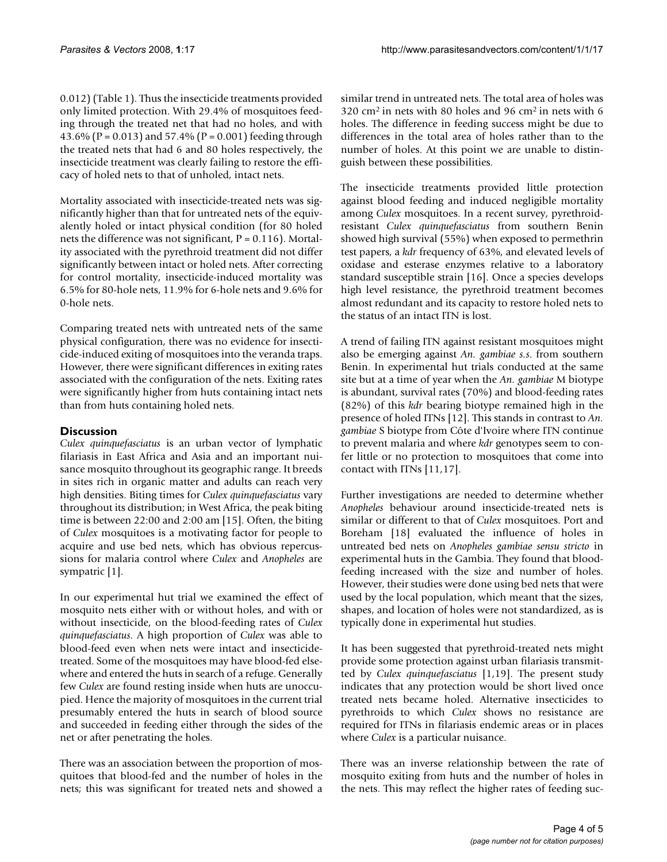0.012) (Table 1). Thus the insecticide treatments provided only limited protection. With 29.4% of mosquitoes feeding through the treated net that had no holes, and with 43.6% ( $P = 0.013$ ) and 57.4% ( $P = 0.001$ ) feeding through the treated nets that had 6 and 80 holes respectively, the insecticide treatment was clearly failing to restore the efficacy of holed nets to that of unholed, intact nets.

Mortality associated with insecticide-treated nets was significantly higher than that for untreated nets of the equivalently holed or intact physical condition (for 80 holed nets the difference was not significant,  $P = 0.116$ ). Mortality associated with the pyrethroid treatment did not differ significantly between intact or holed nets. After correcting for control mortality, insecticide-induced mortality was 6.5% for 80-hole nets, 11.9% for 6-hole nets and 9.6% for 0-hole nets.

Comparing treated nets with untreated nets of the same physical configuration, there was no evidence for insecticide-induced exiting of mosquitoes into the veranda traps. However, there were significant differences in exiting rates associated with the configuration of the nets. Exiting rates were significantly higher from huts containing intact nets than from huts containing holed nets.

### **Discussion**

*Culex quinquefasciatus* is an urban vector of lymphatic filariasis in East Africa and Asia and an important nuisance mosquito throughout its geographic range. It breeds in sites rich in organic matter and adults can reach very high densities. Biting times for *Culex quinquefasciatus* vary throughout its distribution; in West Africa, the peak biting time is between 22:00 and 2:00 am [15]. Often, the biting of *Culex* mosquitoes is a motivating factor for people to acquire and use bed nets, which has obvious repercussions for malaria control where *Culex* and *Anopheles* are sympatric [1].

In our experimental hut trial we examined the effect of mosquito nets either with or without holes, and with or without insecticide, on the blood-feeding rates of *Culex quinquefasciatus*. A high proportion of *Culex* was able to blood-feed even when nets were intact and insecticidetreated. Some of the mosquitoes may have blood-fed elsewhere and entered the huts in search of a refuge. Generally few *Culex* are found resting inside when huts are unoccupied. Hence the majority of mosquitoes in the current trial presumably entered the huts in search of blood source and succeeded in feeding either through the sides of the net or after penetrating the holes.

There was an association between the proportion of mosquitoes that blood-fed and the number of holes in the nets; this was significant for treated nets and showed a similar trend in untreated nets. The total area of holes was 320 cm2 in nets with 80 holes and 96 cm2 in nets with 6 holes. The difference in feeding success might be due to differences in the total area of holes rather than to the number of holes. At this point we are unable to distinguish between these possibilities.

The insecticide treatments provided little protection against blood feeding and induced negligible mortality among *Culex* mosquitoes. In a recent survey, pyrethroidresistant *Culex quinquefasciatus* from southern Benin showed high survival (55%) when exposed to permethrin test papers, a *kdr* frequency of 63%, and elevated levels of oxidase and esterase enzymes relative to a laboratory standard susceptible strain [16]. Once a species develops high level resistance, the pyrethroid treatment becomes almost redundant and its capacity to restore holed nets to the status of an intact ITN is lost.

A trend of failing ITN against resistant mosquitoes might also be emerging against *An. gambiae s.s*. from southern Benin. In experimental hut trials conducted at the same site but at a time of year when the *An. gambiae* M biotype is abundant, survival rates (70%) and blood-feeding rates (82%) of this *kdr* bearing biotype remained high in the presence of holed ITNs [12]. This stands in contrast to *An. gambiae* S biotype from Côte d'Ivoire where ITN continue to prevent malaria and where *kdr* genotypes seem to confer little or no protection to mosquitoes that come into contact with ITNs [11,[17](#page-4-0)].

Further investigations are needed to determine whether *Anopheles* behaviour around insecticide-treated nets is similar or different to that of *Culex* mosquitoes. Port and Boreham [18] evaluated the influence of holes in untreated bed nets on *Anopheles gambiae sensu stricto* in experimental huts in the Gambia. They found that bloodfeeding increased with the size and number of holes. However, their studies were done using bed nets that were used by the local population, which meant that the sizes, shapes, and location of holes were not standardized, as is typically done in experimental hut studies.

It has been suggested that pyrethroid-treated nets might provide some protection against urban filariasis transmitted by *Culex quinquefasciatus* [1,19]. The present study indicates that any protection would be short lived once treated nets became holed. Alternative insecticides to pyrethroids to which *Culex* shows no resistance are required for ITNs in filariasis endemic areas or in places where *Culex* is a particular nuisance.

There was an inverse relationship between the rate of mosquito exiting from huts and the number of holes in the nets. This may reflect the higher rates of feeding suc